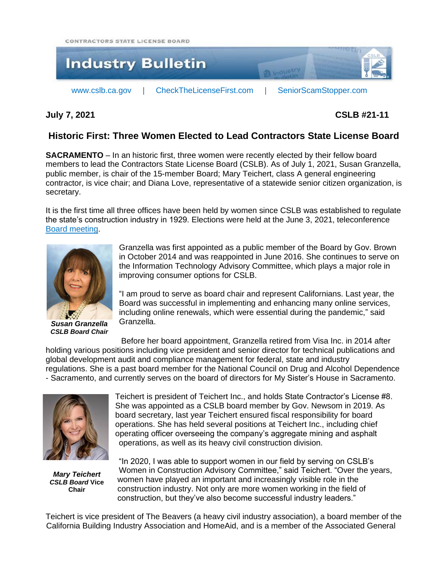CONTRACTORS STATE LICENSE BOARD



## **July 7, 2021 CSLB #21-11**

## **Historic First: Three Women Elected to Lead Contractors State License Board**

**SACRAMENTO** – In an historic first, three women were recently elected by their fellow board members to lead the Contractors State License Board (CSLB). As of July 1, 2021, Susan Granzella, public member, is chair of the 15-member Board; Mary Teichert, class A general engineering contractor, is vice chair; and Diana Love, representative of a statewide senior citizen organization, is secretary.

It is the first time all three offices have been held by women since CSLB was established to regulate the state's construction industry in 1929. Elections were held at the June 3, 2021, teleconference [Board meeting.](https://www.youtube.com/watch?v=baQcm2kvBxM)



*Susan Granzella CSLB Board Chair* 

Granzella was first appointed as a public member of the Board by Gov. Brown in October 2014 and was reappointed in June 2016. She continues to serve on the Information Technology Advisory Committee, which plays a major role in improving consumer options for CSLB.

"I am proud to serve as board chair and represent Californians. Last year, the Board was successful in implementing and enhancing many online services, including online renewals, which were essential during the pandemic," said Granzella.

Before her board appointment, Granzella retired from Visa Inc. in 2014 after holding various positions including vice president and senior director for technical publications and global development audit and compliance management for federal, state and industry regulations. She is a past board member for the National Council on Drug and Alcohol Dependence - Sacramento, and currently serves on the board of directors for My Sister's House in Sacramento.



*Mary Teichert CSLB Board* **Vice Chair** 

Teichert is president of Teichert Inc., and holds State Contractor's License #8. She was appointed as a CSLB board member by Gov. Newsom in 2019. As board secretary, last year Teichert ensured fiscal responsibility for board operations. She has held several positions at Teichert Inc., including chief operating officer overseeing the company's aggregate mining and asphalt operations, as well as its heavy civil construction division.

"In 2020, I was able to support women in our field by serving on CSLB's Women in Construction Advisory Committee," said Teichert. "Over the years, women have played an important and increasingly visible role in the construction industry. Not only are more women working in the field of construction, but they've also become successful industry leaders."

Teichert is vice president of The Beavers (a heavy civil industry association), a board member of the California Building Industry Association and HomeAid, and is a member of the Associated General